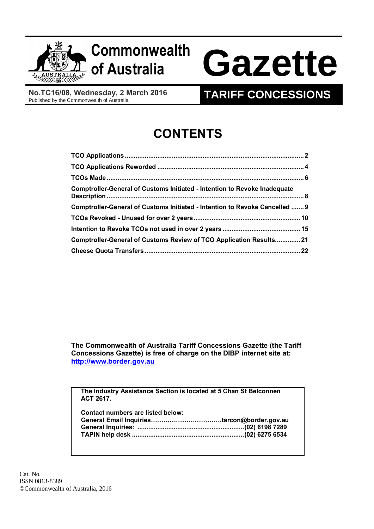

# **Commonwealth**

# **of Australia Gazette**

**No.TC16/08, Wednesday, 2 March 2016**<br>Published by the Commonwealth of Australia

# **TARIFF CONCESSIONS**

# **CONTENTS**

| Comptroller-General of Customs Initiated - Intention to Revoke Inadequate   |  |
|-----------------------------------------------------------------------------|--|
| Comptroller-General of Customs Initiated - Intention to Revoke Cancelled  9 |  |
|                                                                             |  |
|                                                                             |  |
| Comptroller-General of Customs Review of TCO Application Results21          |  |
|                                                                             |  |

**The Commonwealth of Australia Tariff Concessions Gazette (the Tariff Concessions Gazette) is free of charge on the DIBP internet site at: [http://www.border.gov.au](http://www.border.gov.au/)**

**The Industry Assistance Section is located at 5 Chan St Belconnen ACT 2617.**

| Contact numbers are listed below: |  |
|-----------------------------------|--|
|                                   |  |
|                                   |  |
|                                   |  |

Cat. No. ISSN 0813-8389 ©Commonwealth of Australia, 2016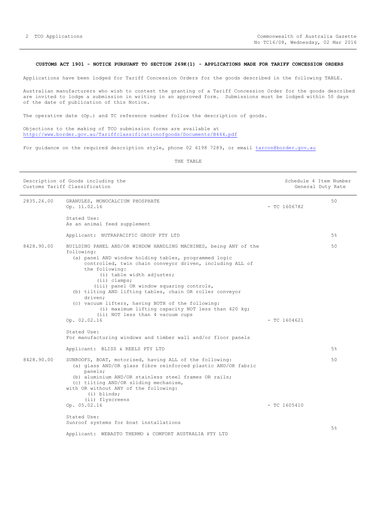## <span id="page-1-0"></span>**CUSTOMS ACT 1901 - NOTICE PURSUANT TO SECTION 269K(1) - APPLICATIONS MADE FOR TARIFF CONCESSION ORDERS**

Applications have been lodged for Tariff Concession Orders for the goods described in the following TABLE.

Australian manufacturers who wish to contest the granting of a Tariff Concession Order for the goods described are invited to lodge a submission in writing in an approved form. Submissions must be lodged within 50 days of the date of publication of this Notice.

The operative date (Op.) and TC reference number follow the description of goods.

Objections to the making of TCO submission forms are available at <http://www.border.gov.au/Tariffclassificationofgoods/Documents/B444.pdf>

For guidance on the required description style, phone 02 6198 7289, or email [tarcon@border.gov.au](mailto:tarcon@border.gov.au)

| Description of Goods including the<br>Customs Tariff Classification |                                                                                                                                                                                                                                                                                                                                                                                                                                                                                                                                                       |                | Schedule 4 Item Number<br>General Duty Rate |  |
|---------------------------------------------------------------------|-------------------------------------------------------------------------------------------------------------------------------------------------------------------------------------------------------------------------------------------------------------------------------------------------------------------------------------------------------------------------------------------------------------------------------------------------------------------------------------------------------------------------------------------------------|----------------|---------------------------------------------|--|
| 2835.26.00                                                          | GRANULES, MONOCALCIUM PHOSPHATE<br>Op. 11.02.16                                                                                                                                                                                                                                                                                                                                                                                                                                                                                                       | $-$ TC 1606782 | 50                                          |  |
|                                                                     | Stated Use:<br>As an animal feed supplement                                                                                                                                                                                                                                                                                                                                                                                                                                                                                                           |                |                                             |  |
|                                                                     | Applicant: NUTRAPACIFIC GROUP PTY LTD                                                                                                                                                                                                                                                                                                                                                                                                                                                                                                                 |                | 5%                                          |  |
| 8428.90.00                                                          | BUILDING PANEL AND/OR WINDOW HANDLING MACHINES, being ANY of the<br>following:<br>(a) panel AND window holding tables, programmed logic<br>controlled, twin chain conveyor driven, including ALL of<br>the following:<br>(i) table width adjuster;<br>$(i)$ clamps;<br>(iii) panel OR window squaring controls,<br>(b) tilting AND lifting tables, chain OR roller conveyor<br>driven;<br>(c) vacuum lifters, having BOTH of the following:<br>(i) maximum lifting capacity NOT less than 420 kg;<br>(ii) NOT less than 4 vacuum cups<br>Op. 02.02.16 | $- TC 1604621$ | 50                                          |  |
|                                                                     | Stated Use:<br>For manufacturing windows and timber wall and/or floor panels                                                                                                                                                                                                                                                                                                                                                                                                                                                                          |                |                                             |  |
|                                                                     | Applicant: BLISS & REELS PTY LTD                                                                                                                                                                                                                                                                                                                                                                                                                                                                                                                      |                | 5%                                          |  |
| 8428.90.00                                                          | SUNROOFS, BOAT, motorised, having ALL of the following:<br>(a) glass AND/OR glass fibre reinforced plastic AND/OR fabric<br>panels;<br>(b) aluminium AND/OR stainless steel frames OR rails;<br>(c) tilting AND/OR sliding mechanism,<br>with OR without ANY of the following:<br>$(i)$ blinds;                                                                                                                                                                                                                                                       |                | 50                                          |  |
|                                                                     | (ii) flyscreens<br>Op. 05.02.16                                                                                                                                                                                                                                                                                                                                                                                                                                                                                                                       | $-$ TC 1605410 |                                             |  |
|                                                                     | Stated Use:<br>Sunroof systems for boat installations<br>Applicant: WEBASTO THERMO & COMFORT AUSTRALIA PTY LTD                                                                                                                                                                                                                                                                                                                                                                                                                                        |                | 5%                                          |  |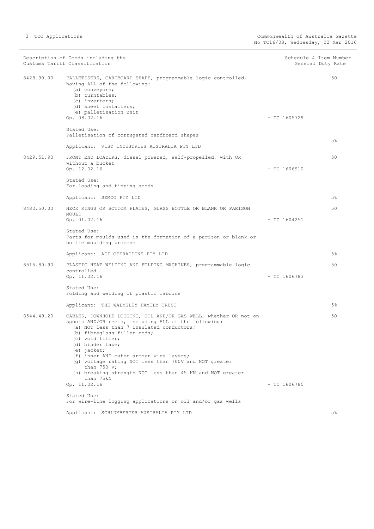| Description of Goods including the<br>Customs Tariff Classification |                                                                                                                                                                                                                                                                                                                                                                                                                                                            | Schedule 4 Item Number<br>General Duty Rate |       |
|---------------------------------------------------------------------|------------------------------------------------------------------------------------------------------------------------------------------------------------------------------------------------------------------------------------------------------------------------------------------------------------------------------------------------------------------------------------------------------------------------------------------------------------|---------------------------------------------|-------|
| 8428.90.00                                                          | PALLETISERS, CARDBOARD SHAPE, programmable logic controlled,<br>having ALL of the following:<br>(a) conveyors;<br>(b) turntables;<br>(c) inverters;<br>(d) sheet installers;<br>(e) palletisation unit<br>Op. 08.02.16                                                                                                                                                                                                                                     | $-$ TC 1605729                              | 50    |
|                                                                     | Stated Use:<br>Palletisation of corrugated cardboard shapes                                                                                                                                                                                                                                                                                                                                                                                                |                                             |       |
|                                                                     | Applicant: VISY INDUSTRIES AUSTRALIA PTY LTD                                                                                                                                                                                                                                                                                                                                                                                                               |                                             | 5%    |
| 8429.51.90                                                          | FRONT END LOADERS, diesel powered, self-propelled, with OR<br>without a bucket<br>Op. 12.02.16                                                                                                                                                                                                                                                                                                                                                             | $-$ TC 1606910                              | 50    |
|                                                                     | Stated Use:<br>For loading and tipping goods                                                                                                                                                                                                                                                                                                                                                                                                               |                                             |       |
|                                                                     | Applicant: SEMCO PTY LTD                                                                                                                                                                                                                                                                                                                                                                                                                                   |                                             | 5%    |
| 8480.50.00                                                          | NECK RINGS OR BOTTOM PLATES, GLASS BOTTLE OR BLANK OR PARISON<br>MOULD<br>Op. 01.02.16                                                                                                                                                                                                                                                                                                                                                                     | $-$ TC 1604251                              | 50    |
|                                                                     | Stated Use:<br>Parts for moulds used in the formation of a parison or blank or<br>bottle moulding process                                                                                                                                                                                                                                                                                                                                                  |                                             |       |
|                                                                     | Applicant: ACI OPERATIONS PTY LTD                                                                                                                                                                                                                                                                                                                                                                                                                          |                                             | 5%    |
| 8515.80.90                                                          | PLASTIC HEAT WELDING AND FOLDING MACHINES, programmable logic<br>controlled<br>Op. 11.02.16                                                                                                                                                                                                                                                                                                                                                                | $-$ TC 1606783                              | 50    |
|                                                                     | Stated Use:<br>Folding and welding of plastic fabrics                                                                                                                                                                                                                                                                                                                                                                                                      |                                             |       |
|                                                                     | Applicant: THE WALMSLEY FAMILY TRUST                                                                                                                                                                                                                                                                                                                                                                                                                       |                                             | 5%    |
| 8544.49.20                                                          | CABLES, DOWNHOLE LOGGING, OIL AND/OR GAS WELL, whether OR not on<br>spools AND/OR reels, including ALL of the following:<br>(a) NOT less than 7 insulated conductors;<br>(b) fibreglass filler rods;<br>(c) void filler;<br>(d) binder tape;<br>(e) jacket;<br>(f) inner AND outer armour wire layers;<br>(g) voltage rating NOT less than 700V and NOT greater<br>than $750 V;$<br>(h) breaking strength NOT less than 45 KN and NOT greater<br>than 75kN |                                             | 50    |
|                                                                     | Op. 11.02.16                                                                                                                                                                                                                                                                                                                                                                                                                                               | $-$ TC 1606785                              |       |
|                                                                     | Stated Use:<br>For wire-line logging applications on oil and/or gas wells                                                                                                                                                                                                                                                                                                                                                                                  |                                             |       |
|                                                                     | Applicant: SCHLUMBERGER AUSTRALIA PTY LTD                                                                                                                                                                                                                                                                                                                                                                                                                  |                                             | $5\%$ |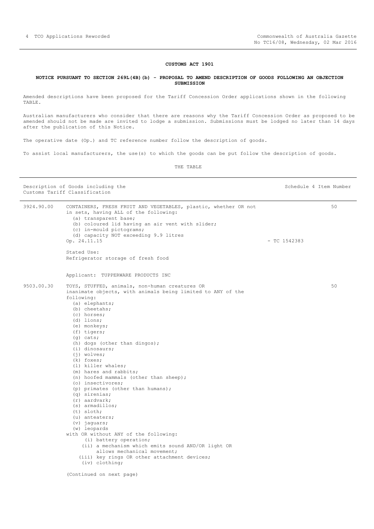#### **CUSTOMS ACT 1901**

#### <span id="page-3-0"></span>**NOTICE PURSUANT TO SECTION 269L(4B)(b) - PROPOSAL TO AMEND DESCRIPTION OF GOODS FOLLOWING AN OBJECTION SUBMISSION**

Amended descriptions have been proposed for the Tariff Concession Order applications shown in the following TABLE.

Australian manufacturers who consider that there are reasons why the Tariff Concession Order as proposed to be amended should not be made are invited to lodge a submission. Submissions must be lodged no later than 14 days after the publication of this Notice.

The operative date (Op.) and TC reference number follow the description of goods.

To assist local manufacturers, the use(s) to which the goods can be put follow the description of goods.

THE TABLE

Description of Goods including the Schedule 4 Item Number Customs Tariff Classification

| 3924.90.00 | CONTAINERS, FRESH FRUIT AND VEGETABLES, plastic, whether OR not<br>in sets, having ALL of the following:<br>(a) transparent base;<br>(b) coloured lid having an air vent with slider;<br>(c) in-mould pictograms;<br>(d) capacity NOT exceeding 9.9 litres<br>Op. 24.11.15                                                                                                                                                                                                                                                                                                                                                                                                                                                                                                                                                                         | $-$ TC 1542383 | 50 |
|------------|----------------------------------------------------------------------------------------------------------------------------------------------------------------------------------------------------------------------------------------------------------------------------------------------------------------------------------------------------------------------------------------------------------------------------------------------------------------------------------------------------------------------------------------------------------------------------------------------------------------------------------------------------------------------------------------------------------------------------------------------------------------------------------------------------------------------------------------------------|----------------|----|
|            | Stated Use:<br>Refrigerator storage of fresh food                                                                                                                                                                                                                                                                                                                                                                                                                                                                                                                                                                                                                                                                                                                                                                                                  |                |    |
|            | Applicant: TUPPERWARE PRODUCTS INC                                                                                                                                                                                                                                                                                                                                                                                                                                                                                                                                                                                                                                                                                                                                                                                                                 |                |    |
| 9503.00.30 | TOYS, STUFFED, animals, non-human creatures OR<br>inanimate objects, with animals being limited to ANY of the<br>following:<br>(a) elephants;<br>(b) cheetahs;<br>(c) horses;<br>$(d)$ lions;<br>(e) monkeys;<br>$(f)$ tigers;<br>$(q)$ cats;<br>(h) dogs (other than dingos);<br>$(i)$ dinosaurs;<br>$(i)$ wolves;<br>$(k)$ foxes;<br>(1) killer whales;<br>(m) hares and rabbits;<br>(n) hoofed mammals (other than sheep);<br>(o) insectivores;<br>(p) primates (other than humans);<br>$(q)$ sirenias;<br>$(r)$ aardvark;<br>$(s)$ armadillos;<br>$(t)$ sloth;<br>(u) anteaters;<br>$(v)$ jaguars;<br>(w) leopards<br>with OR without ANY of the following:<br>(i) battery operation;<br>(ii) a mechanism which emits sound AND/OR light OR<br>allows mechanical movement;<br>(iii) key rings OR other attachment devices;<br>$(iv)$ clothing; |                | 50 |
|            | (Continued on next page)                                                                                                                                                                                                                                                                                                                                                                                                                                                                                                                                                                                                                                                                                                                                                                                                                           |                |    |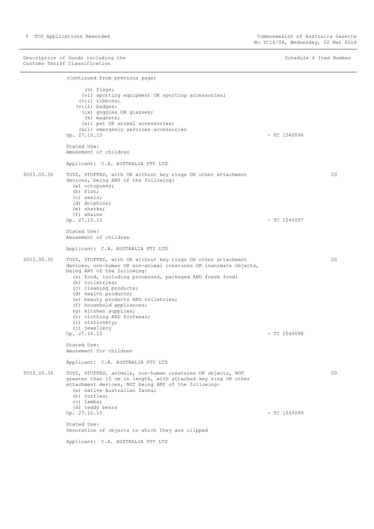Description of Goods including the Schedule 4 Item Number (Schedule 4 Item Number Customs Tariff Classification

(Continued from previous page) (v) flags; (vi) sporting equipment OR sporting accessories; (vii) ribbons; (viii) badges; (ix) goggles OR glasses; (x) magnets; (xi) pet OR animal accessories; (xii) emergency services accessories  $\sigma$   $\sigma$ . 27.10.15 - TC 1540096 Stated Use: Amusement of children Applicant: C.A. AUSTRALIA PTY LTD 9503.00.30 TOYS, STUFFED, with OR without key rings OR other attachment devices, being ANY of the following: (a) octopuses; (b) fish; (c) seals; (d) dolphins; (e) sharks; (f) whales Op. 27.10.15 - TC 1540097 Stated Use: Amusement of children Applicant: C.A. AUSTRALIA PTY LTD 50 9503.00.30 TOYS, STUFFED, with OR without key rings OR other attachment devices, non-human OR non-animal creatures OR inanimate objects, being ANY of the following: (a) food, including processed, packaged AND fresh food; (b) toiletries; (c) cleaning products; (d) health products; (e) beauty products AND toiletries; (f) household appliances; (g) kitchen supplies; (h) clothing AND footwear; (i) stationery; (j) jewellery Op. 27.10.15 - TC 1540098 Stated Use: Amusement for children Applicant: C.A. AUSTRALIA PTY LTD 50 9503.00.30 TOYS, STUFFED, animals, non-human creatures OR objects, NOT greater than 15 cm in length, with attached key ring OR other attachment devices, NOT being ANY of the following: (a) native Australian fauna; (b) turtles; (c) lambs; (d) teddy bears  $\sigma$ . 27.10.15 - TC 1540099 Stated Use: Decoration of objects to which they are clipped 50

Applicant: C.A. AUSTRALIA PTY LTD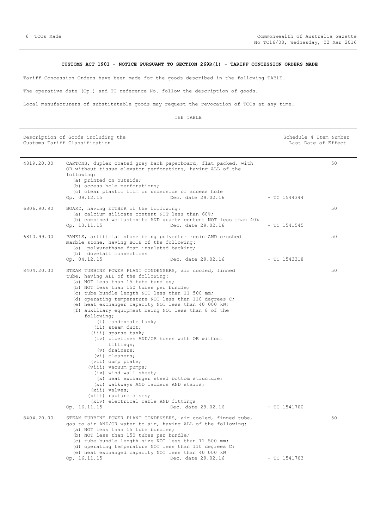# **CUSTOMS ACT 1901 - NOTICE PURSUANT TO SECTION 269R(1) - TARIFF CONCESSION ORDERS MADE**

<span id="page-5-0"></span>Tariff Concession Orders have been made for the goods described in the following TABLE.

The operative date (Op.) and TC reference No. follow the description of goods.

Local manufacturers of substitutable goods may request the revocation of TCOs at any time.

| Description of Goods including the<br>Customs Tariff Classification |                                                                                                                                                                                                                                                                                                                                                                                                                                                                                                                                                                                                                                                                                                                                                                                                                                                                   |                    | Schedule 4 Item Number<br>Last Date of Effect |    |
|---------------------------------------------------------------------|-------------------------------------------------------------------------------------------------------------------------------------------------------------------------------------------------------------------------------------------------------------------------------------------------------------------------------------------------------------------------------------------------------------------------------------------------------------------------------------------------------------------------------------------------------------------------------------------------------------------------------------------------------------------------------------------------------------------------------------------------------------------------------------------------------------------------------------------------------------------|--------------------|-----------------------------------------------|----|
| 4819.20.00                                                          | CARTONS, duplex coated grey back paperboard, flat packed, with<br>OR without tissue elevator perforations, having ALL of the<br>following:<br>(a) printed on outside;<br>(b) access hole perforations;<br>(c) clear plastic film on underside of access hole<br>Op. 09.12.15                                                                                                                                                                                                                                                                                                                                                                                                                                                                                                                                                                                      | Dec. date 29.02.16 | $-$ TC 1544344                                | 50 |
| 6806.90.90                                                          | BOARD, having EITHER of the following:<br>(a) calcium silicate content NOT less than 60%;<br>(b) combined wollastonite AND quartz content NOT less than 40%<br>Op. 13.11.15                                                                                                                                                                                                                                                                                                                                                                                                                                                                                                                                                                                                                                                                                       | Dec. date 29.02.16 | $-$ TC 1541545                                | 50 |
| 6810.99.00                                                          | PANELS, artificial stone being polyester resin AND crushed<br>marble stone, having BOTH of the following:<br>(a) polyurethane foam insulated backing;<br>(b) dovetail connections<br>Op. 04.12.15                                                                                                                                                                                                                                                                                                                                                                                                                                                                                                                                                                                                                                                                 | Dec. date 29.02.16 | $-$ TC 1543318                                | 50 |
| 8404.20.00                                                          | STEAM TURBINE POWER PLANT CONDENSERS, air cooled, finned<br>tube, having ALL of the following:<br>(a) NOT less than 15 tube bundles;<br>(b) NOT less than 150 tubes per bundle;<br>(c) tube bundle length NOT less than 11 500 mm;<br>(d) operating temperature NOT less than 110 degrees C;<br>(e) heat exchanger capacity NOT less than 40 000 kW;<br>(f) auxiliary equipment being NOT less than 8 of the<br>following;<br>$(i)$ condensate tank;<br>(ii) steam duct;<br>(iii) sparse tank;<br>(iv) pipelines AND/OR hoses with OR without<br>fittings;<br>$(v)$ drainers;<br>$(vi)$ cleaners;<br>(vii) dump plate;<br>(viii) vacuum pumps;<br>(ix) wind wall sheet;<br>(x) heat exchanger steel bottom structure;<br>(xi) walkways AND ladders AND stairs;<br>$(xii)$ valves;<br>(xiii) rupture discs;<br>(xiv) electrical cable AND fittings<br>Op. 16.11.15 | Dec. date 29.02.16 | $-$ TC 1541700                                | 50 |
| 8404.20.00                                                          | STEAM TURBINE POWER PLANT CONDENSERS, air cooled, finned tube,<br>gas to air AND/OR water to air, having ALL of the following:<br>(a) NOT less than 15 tube bundles;<br>(b) NOT less than 150 tubes per bundle;<br>(c) tube bundle length size NOT less than 11 500 mm;<br>(d) operating temperature NOT less than 110 degrees C;<br>(e) heat exchanged capacity NOT less than 40 000 kW<br>Op. 16.11.15                                                                                                                                                                                                                                                                                                                                                                                                                                                          | Dec. date 29.02.16 | $-$ TC 1541703                                | 50 |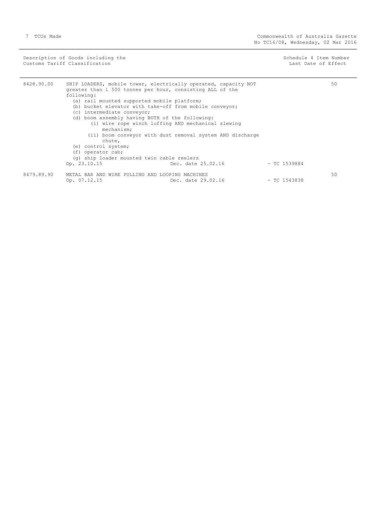Description of Goods including the Schedule 4 Item Number (Schedule 4 Item Number Customs Tariff Classification and the control of the control of the control of Effect Date of Effect

-

| 8428.90.00 |                                                 | SHIP LOADERS, mobile tower, electrically operated, capacity NOT<br>greater than 1 500 tonnes per hour, consisting ALL of the |                | 50 |
|------------|-------------------------------------------------|------------------------------------------------------------------------------------------------------------------------------|----------------|----|
|            | following:                                      |                                                                                                                              |                |    |
|            | (a) rail mounted supported mobile platform;     |                                                                                                                              |                |    |
|            |                                                 | (b) bucket elevator with take-off from mobile conveyor;                                                                      |                |    |
|            | (c) intermediate conveyor;                      |                                                                                                                              |                |    |
|            | (d) boom assembly having BOTH of the following: |                                                                                                                              |                |    |
|            | mechanism;                                      | (i) wire rope winch luffing AND mechanical slewing                                                                           |                |    |
|            | chute,                                          | (ii) boom conveyor with dust removal system AND discharge                                                                    |                |    |
|            | (e) control system;                             |                                                                                                                              |                |    |
|            | (f) operator cab;                               |                                                                                                                              |                |    |
|            | (q) ship loader mounted twin cable reelers      |                                                                                                                              |                |    |
|            | Op. 23.10.15                                    | Dec. date 25.02.16                                                                                                           | $-$ TC 1539884 |    |
| 8479.89.90 | METAL BAR AND WIRE PULLING AND LOOPING MACHINES |                                                                                                                              |                | 50 |
|            | Op. 07.12.15                                    | Dec. date 29.02.16                                                                                                           | $-$ TC 1543838 |    |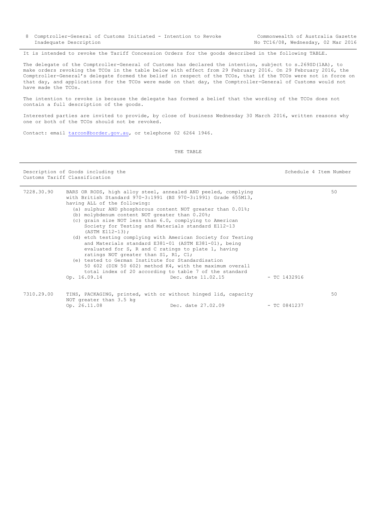8 Comptroller-General of Customs Initiated - Intention to Revoke Inadequate Description

<span id="page-7-0"></span>It is intended to revoke the Tariff Concession Orders for the goods described in the following TABLE.

The delegate of the Comptroller-General of Customs has declared the intention, subject to s.269SD(1AA), to make orders revoking the TCOs in the table below with effect from 29 February 2016. On 29 February 2016, the Comptroller-General's delegate formed the belief in respect of the TCOs, that if the TCOs were not in force on that day, and applications for the TCOs were made on that day, the Comptroller-General of Customs would not have made the TCOs.

The intention to revoke is because the delegate has formed a belief that the wording of the TCOs does not contain a full description of the goods.

Interested parties are invited to provide, by close of business Wednesday 30 March 2016, written reasons why one or both of the TCOs should not be revoked.

Contact: email [tarcon@border.gov.au,](mailto:tarcon@border.gov.au) or telephone 02 6264 1946.

THE TABLE

Description of Goods including the Schedule 4 Item Number (Schedule 4 Item Number (Schedule 4 Item Number (Schedule 4 Item Number (Schedule 4 Item Number (Schedule 4 Item Number (Schedule 4 Item Number (Schedule 4 Item Num Customs Tariff Classification 7228.30.90 BARS OR RODS, high alloy steel, annealed AND peeled, complying with British Standard 970-3:1991 (BS 970-3:1991) Grade 655M13, having ALL of the following: (a) sulphur AND phosphorous content NOT greater than 0.01%; (b) molybdenum content NOT greater than 0.20%; (c) grain size NOT less than 6.0, complying to American Society for Testing and Materials standard E112-13  $(ASTM \t F112-13);$  (d) etch testing complying with American Society for Testing and Materials standard E381-01 (ASTM E381-01), being evaluated for S, R and C ratings to plate 1, having ratings NOT greater than S1, R1, C1; (e) tested to German Institute for Standardisation 50 602 (DIN 50 602) method K4, with the maximum overall total index of 20 according to table 7 of the standard Op. 16.09.14 Dec. date 11.02.15 - TC 1432916  $50$ 7310.29.00 TINS, PACKAGING, printed, with or without hinged lid, capacity NOT greater than 3.5 kg<br>Op. 26.11.08 Dec. date 27.02.09 - TC 0841237 50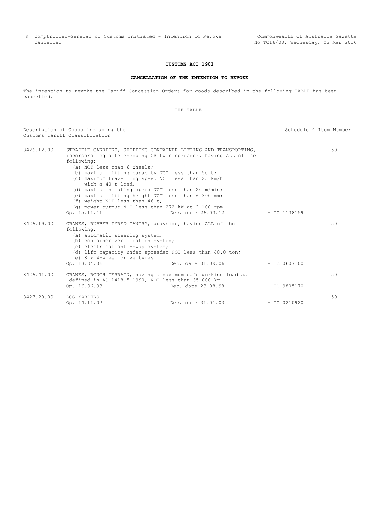# **CUSTOMS ACT 1901**

#### **CANCELLATION OF THE INTENTION TO REVOKE**

<span id="page-8-0"></span>The intention to revoke the Tariff Concession Orders for goods described in the following TABLE has been cancelled.

THE TABLE

Description of Goods including the Schedule 4 Item Number (Schedule 4 Item Number Customs Tariff Classification

| 8426.12.00 |                                    | STRADDLE CARRIERS, SHIPPING CONTAINER LIFTING AND TRANSPORTING, |                | 50 |
|------------|------------------------------------|-----------------------------------------------------------------|----------------|----|
|            |                                    | incorporating a telescoping OR twin spreader, having ALL of the |                |    |
|            | following:                         |                                                                 |                |    |
|            | (a) NOT less than 6 wheels;        |                                                                 |                |    |
|            |                                    | (b) maximum lifting capacity NOT less than 50 t;                |                |    |
|            | with a 40 t load;                  | (c) maximum travelling speed NOT less than 25 km/h              |                |    |
|            |                                    | (d) maximum hoisting speed NOT less than 20 m/min;              |                |    |
|            |                                    | (e) maximum lifting height NOT less than 6 300 mm;              |                |    |
|            | (f) weight NOT less than 46 t;     |                                                                 |                |    |
|            |                                    | (q) power output NOT less than 272 kW at 2 100 rpm              |                |    |
|            | Op. 15.11.11                       | Dec. date 26.03.12                                              | $-$ TC 1138159 |    |
| 8426.19.00 |                                    | CRANES, RUBBER TYRED GANTRY, quayside, having ALL of the        |                | 50 |
|            | following:                         |                                                                 |                |    |
|            | (a) automatic steering system;     |                                                                 |                |    |
|            | (b) container verification system; |                                                                 |                |    |
|            | (c) electrical anti-sway system;   |                                                                 |                |    |
|            |                                    | (d) lift capacity under spreader NOT less than 40.0 ton;        |                |    |
|            | (e) 8 x 4-wheel drive tyres        |                                                                 |                |    |
|            | Op. 18.04.06                       | Dec. date 01.09.06                                              | $-$ TC 0607100 |    |
| 8426.41.00 |                                    | CRANES, ROUGH TERRAIN, having a maximum safe working load as    |                | 50 |
|            |                                    | defined in AS 1418.5-1990, NOT less than 35 000 kg              |                |    |
|            | Op. 16.06.98                       | Dec. date 28.08.98                                              | $-$ TC 9805170 |    |
| 8427.20.00 | LOG YARDERS                        |                                                                 |                | 50 |
|            | Op. 14.11.02                       | Dec. date 31.01.03                                              | $-$ TC 0210920 |    |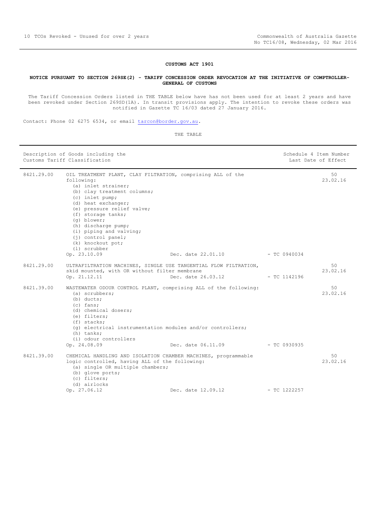#### **CUSTOMS ACT 1901**

#### <span id="page-9-0"></span>**NOTICE PURSUANT TO SECTION 269SE(2) - TARIFF CONCESSION ORDER REVOCATION AT THE INITIATIVE OF COMPTROLLER-GENERAL OF CUSTOMS**

The Tariff Concession Orders listed in THE TABLE below have has not been used for at least 2 years and have been revoked under Section 269SD(1A). In transit provisions apply. The intention to revoke these orders was notified in Gazette TC 16/03 dated 27 January 2016.

Contact: Phone 02 6275 6534, or email [tarcon@border.gov.au.](mailto:tarcon@border.gov.au)

| Description of Goods including the<br>Customs Tariff Classification |                                                                                                                                                                                                                                                                                                                                                                             |                    |                | Schedule 4 Item Number<br>Last Date of Effect |
|---------------------------------------------------------------------|-----------------------------------------------------------------------------------------------------------------------------------------------------------------------------------------------------------------------------------------------------------------------------------------------------------------------------------------------------------------------------|--------------------|----------------|-----------------------------------------------|
| 8421.29.00                                                          | OIL TREATMENT PLANT, CLAY FILTRATION, comprising ALL of the<br>following:<br>(a) inlet strainer;<br>(b) clay treatment columns;<br>(c) inlet pump;<br>(d) heat exchanger;<br>(e) pressure relief valve;<br>(f) storage tanks;<br>(q) blower;<br>(h) discharge pump;<br>(i) piping and valving;<br>$(i)$ control panel;<br>(k) knockout pot;<br>(1) scrubber<br>Op. 23.10.09 | Dec. date 22.01.10 | $-$ TC 0940034 | 50<br>23.02.16                                |
| 8421.29.00                                                          | ULTRAFILTRATION MACHINES, SINGLE USE TANGENTIAL FLOW FILTRATION,<br>skid mounted, with OR without filter membrane<br>Op. 21.12.11                                                                                                                                                                                                                                           | Dec. date 26.03.12 | $-$ TC 1142196 | 50<br>23.02.16                                |
| 8421.39.00                                                          | WASTEWATER ODOUR CONTROL PLANT, comprising ALL of the following:<br>$(a)$ scrubbers;<br>$(b)$ ducts;<br>$(c)$ fans:<br>(d) chemical dosers;<br>(e) filters;<br>$(f)$ stacks;<br>$(q)$ electrical instrumentation modules and/or controllers;<br>(h) tanks;<br>(i) odour controllers<br>Op. 24.08.09                                                                         | Dec. date 06.11.09 | $-$ TC 0930935 | 50<br>23.02.16                                |
| 8421.39.00                                                          | CHEMICAL HANDLING AND ISOLATION CHAMBER MACHINES, programmable<br>logic controlled, having ALL of the following:<br>(a) single OR multiple chambers;<br>(b) glove ports;<br>(c) filters;<br>(d) airlocks                                                                                                                                                                    |                    |                | 50<br>23.02.16                                |
|                                                                     | Op. 27.06.12                                                                                                                                                                                                                                                                                                                                                                | Dec. date 12.09.12 | $-$ TC 1222257 |                                               |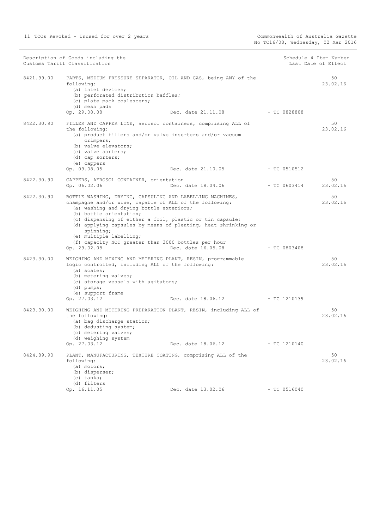| Description of Goods including the<br>Customs Tariff Classification |                                                                                                                                                                                                                                                                                                                                                        |                                                                  | Schedule 4 Item Number<br>Last Date of Effect |                |
|---------------------------------------------------------------------|--------------------------------------------------------------------------------------------------------------------------------------------------------------------------------------------------------------------------------------------------------------------------------------------------------------------------------------------------------|------------------------------------------------------------------|-----------------------------------------------|----------------|
| 8421.99.00                                                          | following:<br>(a) inlet devices;<br>(b) perforated distribution baffles;<br>(c) plate pack coalescers;<br>(d) mesh pads                                                                                                                                                                                                                                | PARTS, MEDIUM PRESSURE SEPARATOR, OIL AND GAS, being ANY of the  |                                               | 50<br>23.02.16 |
|                                                                     | Op. 29.08.08                                                                                                                                                                                                                                                                                                                                           | Dec. date 21.11.08                                               | $-$ TC 0828808                                |                |
| 8422.30.90                                                          | the following:<br>(a) product fillers and/or valve inserters and/or vacuum<br>crimpers;<br>(b) valve elevators;<br>(c) valve sorters;<br>(d) cap sorters;                                                                                                                                                                                              | FILLER AND CAPPER LINE, aerosol containers, comprising ALL of    |                                               | 50<br>23.02.16 |
|                                                                     | (e) cappers<br>Op. 09.08.05                                                                                                                                                                                                                                                                                                                            | Dec. date 21.10.05                                               | $-$ TC 0510512                                |                |
|                                                                     |                                                                                                                                                                                                                                                                                                                                                        |                                                                  |                                               |                |
| 8422.30.90                                                          | CAPPERS, AEROSOL CONTAINER, orientation<br>Op. 06.02.06                                                                                                                                                                                                                                                                                                | Dec. date 18.04.06 - TC 0603414                                  |                                               | 50<br>23.02.16 |
|                                                                     |                                                                                                                                                                                                                                                                                                                                                        |                                                                  |                                               |                |
| 8422.30.90                                                          | BOTTLE WASHING, DRYING, CAPSULING AND LABELLING MACHINES,<br>champagne and/or wine, capable of ALL of the following:<br>(a) washing and drying bottle exteriors;<br>(b) bottle orientation;<br>(c) dispensing of either a foil, plastic or tin capsule;<br>spinning;<br>(e) multiple labelling;<br>(f) capacity NOT greater than 3000 bottles per hour | (d) applying capsules by means of pleating, heat shrinking or    |                                               | 50<br>23.02.16 |
|                                                                     | Op. 29.02.08                                                                                                                                                                                                                                                                                                                                           | Dec. date 16.05.08                                               | $-$ TC 0803408                                |                |
| 8423.30.00                                                          | WEIGHING AND MIXING AND METERING PLANT, RESIN, programmable<br>logic controlled, including ALL of the following:<br>(a) scales;<br>(b) metering valves;<br>(c) storage vessels with agitators;<br>$(d)$ pumps;<br>(e) support frame                                                                                                                    |                                                                  |                                               | 50<br>23.02.16 |
|                                                                     | Op. 27.03.12                                                                                                                                                                                                                                                                                                                                           | Dec. date 18.06.12 - TC 1210139                                  |                                               |                |
| 8423.30.00                                                          | the following:<br>(a) bag discharge station;<br>(b) dedusting system;<br>(c) metering valves;                                                                                                                                                                                                                                                          | WEIGHING AND METERING PREPARATION PLANT, RESIN, including ALL of |                                               | 50<br>23.02.16 |
|                                                                     | (d) weighing system<br>Op. 27.03.12                                                                                                                                                                                                                                                                                                                    | Dec. date 18.06.12                                               | $-$ TC 1210140                                |                |
| 8424.89.90                                                          | PLANT, MANUFACTURING, TEXTURE COATING, comprising ALL of the<br>following:<br>(a) motors;<br>(b) disperser;<br>$(c)$ tanks;<br>(d) filters                                                                                                                                                                                                             |                                                                  |                                               | 50<br>23.02.16 |
|                                                                     | Op. 16.11.05                                                                                                                                                                                                                                                                                                                                           | Dec. date 13.02.06                                               | $-$ TC 0516040                                |                |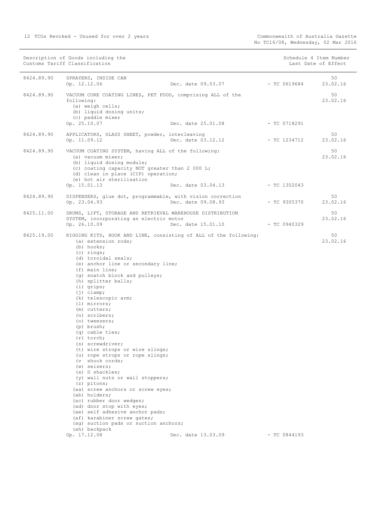Description of Goods including the Schedule 4 Item Number Schedule 4 Item Number

|            | Customs Tariff Classification                                                                                                                                                                                                                                                                                                                                                                                                                                                                                                                                                                                                                                                                                                                                                                                                                                                                             |                                 |                | Last Date of Effect |
|------------|-----------------------------------------------------------------------------------------------------------------------------------------------------------------------------------------------------------------------------------------------------------------------------------------------------------------------------------------------------------------------------------------------------------------------------------------------------------------------------------------------------------------------------------------------------------------------------------------------------------------------------------------------------------------------------------------------------------------------------------------------------------------------------------------------------------------------------------------------------------------------------------------------------------|---------------------------------|----------------|---------------------|
| 8424.89.90 | SPRAYERS, INSIDE CAN<br>Op. 12.12.06                                                                                                                                                                                                                                                                                                                                                                                                                                                                                                                                                                                                                                                                                                                                                                                                                                                                      | Dec. date 09.03.07              | $-$ TC 0619684 | 50<br>23.02.16      |
| 8424.89.90 | VACUUM CORE COATING LINES, PET FOOD, comprising ALL of the<br>following:<br>(a) weigh cells;<br>(b) liquid dosing units;<br>(c) paddle mixer<br>Op. 25.10.07                                                                                                                                                                                                                                                                                                                                                                                                                                                                                                                                                                                                                                                                                                                                              | Dec. date 25.01.08              | $-$ TC 0718291 | 50<br>23.02.16      |
| 8424.89.90 | APPLICATORS, GLASS SHEET, powder, interleaving<br>Op. 11.09.12                                                                                                                                                                                                                                                                                                                                                                                                                                                                                                                                                                                                                                                                                                                                                                                                                                            | Dec. date 03.12.12              | $-$ TC 1234712 | 50<br>23.02.16      |
| 8424.89.90 | VACUUM COATING SYSTEM, having ALL of the following:<br>(a) vacuum mixer;<br>(b) liquid dosing module;<br>(c) coating capacity NOT greater than 2 000 L;<br>(d) clean in place (CIP) operation;<br>(e) hot air sterilisation<br>Op. 15.01.13                                                                                                                                                                                                                                                                                                                                                                                                                                                                                                                                                                                                                                                               | Dec. date 03.04.13              | $-$ TC 1302043 | 50<br>23.02.16      |
| 8424.89.90 | DISPENSERS, glue dot, programmable, with vision correction<br>Op. 23.04.93                                                                                                                                                                                                                                                                                                                                                                                                                                                                                                                                                                                                                                                                                                                                                                                                                                | Dec. date 09.08.93              | - TC 9305370   | 50<br>23.02.16      |
| 8425.11.00 | DRUMS, LIFT, STORAGE AND RETRIEVAL WAREHOUSE DISTRIBUTION<br>SYSTEM, incorporating an electric motor<br>Op. 26.10.09                                                                                                                                                                                                                                                                                                                                                                                                                                                                                                                                                                                                                                                                                                                                                                                      | Dec. date 15.01.10 - TC 0940329 |                | 50<br>23.02.16      |
| 8425.19.00 | RIGGING KITS, HOOK AND LINE, consisting of ALL of the following:<br>(a) extension rods;<br>(b) hooks;<br>$(c)$ rings;<br>(d) toroidal seals;<br>(e) anchor line or secondary line;<br>$(f)$ main line;<br>(g) snatch block and pulleys;<br>(h) splitter balls;<br>$(i)$ grips;<br>$(j)$ clamp;<br>(k) telescopic arm;<br>(1) mirrors;<br>(m) cutters;<br>(n) scribers;<br>(o) tweezers;<br>(p) brush;<br>(q) cable ties;<br>$(r)$ torch;<br>(s) screwdriver;<br>(t) wire strops or wire slings;<br>(u) rope strops or rope slings;<br>(v shock cords;<br>$(w)$ seizers;<br>$(x)$ D shackles;<br>(y) wall nuts or wall stoppers;<br>(z) pitons;<br>(aa) screw anchors or screw eyes;<br>(ab) holders;<br>(ac) rubber door wedges;<br>(ad) door stop with eyes;<br>(ae) self adhesive anchor pads;<br>(af) karabiner screw gates;<br>(ag) suction pads or suction anchors;<br>(ah) backpack<br>Op. 17.12.08 | Dec. date 13.03.09              | $- TC 0844193$ | 50<br>23.02.16      |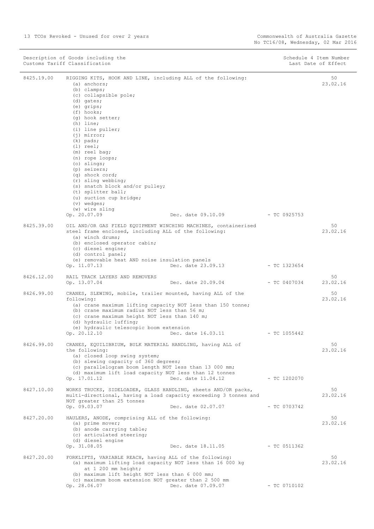|            | Description of Goods including the<br>Customs Tariff Classification                                                                                                                                                                                                                                                                                                                                                                                                                                                                                   |                                 | Schedule 4 Item Number<br>Last Date of Effect |
|------------|-------------------------------------------------------------------------------------------------------------------------------------------------------------------------------------------------------------------------------------------------------------------------------------------------------------------------------------------------------------------------------------------------------------------------------------------------------------------------------------------------------------------------------------------------------|---------------------------------|-----------------------------------------------|
| 8425.19.00 | RIGGING KITS, HOOK AND LINE, including ALL of the following:<br>(a) anchors;<br>$(b)$ clamps;<br>(c) collapsible pole;<br>(d) gates;<br>$(e)$ grips;<br>$(f)$ hooks;<br>(g) hook setter;<br>$(h)$ line;<br>(i) line puller;<br>$(j)$ mirror;<br>$(k)$ pads;<br>$(1)$ reel;<br>(m) reel bag;<br>(n) rope loops;<br>(o) slings;<br>(p) seizers;<br>(q) shock cord;<br>$(r)$ sling webbing;<br>(s) snatch block and/or pulley;<br>(t) splitter ball;<br>(u) suction cup bridge;<br>$(v)$ wedges;<br>(w) wire sling<br>Dec. date 09.10.09<br>Op. 20.07.09 | $-$ TC 0925753                  | 50<br>23.02.16                                |
| 8425.39.00 | OIL AND/OR GAS FIELD EQUIPMENT WINCHING MACHINES, containerised<br>steel frame enclosed, including ALL of the following:<br>(a) winch drums;<br>(b) enclosed operator cabin;<br>(c) diesel engine;                                                                                                                                                                                                                                                                                                                                                    |                                 | 50<br>23.02.16                                |
|            | (d) control panel;<br>(e) removable heat AND noise insulation panels<br>Dec. date 23.09.13<br>Op. 11.07.13                                                                                                                                                                                                                                                                                                                                                                                                                                            | $-$ TC 1323654                  |                                               |
| 8426.12.00 | RAIL TRACK LAYERS AND REMOVERS<br>Dec. date 20.09.04<br>Op. 13.07.04                                                                                                                                                                                                                                                                                                                                                                                                                                                                                  | $-$ TC 0407034                  | 50<br>23.02.16                                |
| 8426.99.00 | CRANES, SLEWING, mobile, trailer mounted, having ALL of the<br>following:<br>(a) crane maximum lifting capacity NOT less than 150 tonne;<br>(b) crane maximum radius NOT less than 56 m;<br>(c) crane maximum height NOT less than 140 m;<br>(d) hydraulic luffing;<br>(e) hydraulic telescopic boom extension<br>Op. 20.12.10<br>Dec. date 16.03.11                                                                                                                                                                                                  | $-$ TC 1055442                  | 50<br>23.02.16                                |
| 8426.99.00 | CRANES, EQUILIBRIUM, BULK MATERIAL HANDLING, having ALL of<br>the following:<br>(a) closed loop swing system;<br>(b) slewing capacity of 360 degrees;<br>(c) parallelogram boom length NOT less than 13 000 mm;<br>(d) maximum lift load capacity NOT less than 12 tonnes<br>Dec. date 11.04.12<br>Op. 17.01.12                                                                                                                                                                                                                                       | $-$ TC 1202070                  | 50<br>23.02.16                                |
| 8427.10.00 | WORKS TRUCKS, SIDELOADER, GLASS HANDLING, sheets AND/OR packs,<br>multi-directional, having a load capacity exceeding 3 tonnes and<br>NOT greater than 25 tonnes<br>Op. 09.03.07<br>Dec. date 02.07.07                                                                                                                                                                                                                                                                                                                                                | $-$ TC 0703742                  | 50<br>23.02.16                                |
| 8427.20.00 | HAULERS, ANODE, comprising ALL of the following:<br>(a) prime mover;<br>(b) anode carrying table;<br>(c) articulated steering;<br>(d) diesel engine<br>Op. 31.08.05                                                                                                                                                                                                                                                                                                                                                                                   | Dec. date 18.11.05 - TC 0511362 | 50<br>23.02.16                                |
| 8427.20.00 | FORKLIFTS, VARIABLE REACH, having ALL of the following:<br>(a) maximum lifting load capacity NOT less than 16 000 kg<br>at 1 200 mm height;<br>(b) maximum lift height NOT less than 6 000 mm;<br>(c) maximum boom extension NOT greater than 2 500 mm<br>Op. 28.06.07<br>Dec. date 07.09.07                                                                                                                                                                                                                                                          | $-$ TC 0710102                  | 50<br>23.02.16                                |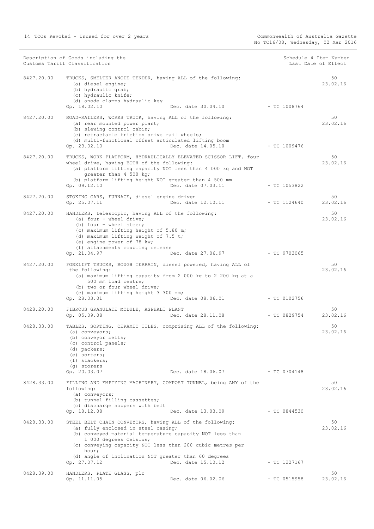|            | Description of Goods including the<br>Customs Tariff Classification                                                                                                                                                                                                                                                                                       |                | Schedule 4 Item Number<br>Last Date of Effect |
|------------|-----------------------------------------------------------------------------------------------------------------------------------------------------------------------------------------------------------------------------------------------------------------------------------------------------------------------------------------------------------|----------------|-----------------------------------------------|
| 8427.20.00 | TRUCKS, SMELTER ANODE TENDER, having ALL of the following:<br>(a) diesel engine;<br>(b) hydraulic grab;<br>(c) hydraulic knife;<br>(d) anode clamps hydraulic key<br>Op. 18.02.10<br>Dec. date 30.04.10                                                                                                                                                   | $-$ TC 1008764 | 50<br>23.02.16                                |
| 8427.20.00 | ROAD-RAILERS, WORKS TRUCK, having ALL of the following:<br>(a) rear mounted power plant;<br>(b) slewing control cabin;<br>(c) retractable friction drive rail wheels;<br>(d) multi-functional offset articulated lifting boom<br>Dec. date 14.05.10<br>Op. 23.02.10                                                                                       | - TC 1009476   | 50<br>23.02.16                                |
| 8427.20.00 | TRUCKS, WORK PLATFORM, HYDRAULICALLY ELEVATED SCISSOR LIFT, four<br>wheel drive, having BOTH of the following:<br>(a) platform lifting capacity NOT less than 4 000 kg and NOT<br>qreater than 4 500 kg;<br>(b) platform lifting height NOT greater than 4 500 mm<br>Dec. date 07.03.11<br>Op. 09.12.10                                                   |                | 50<br>23.02.16<br>$-$ TC 1053822              |
| 8427.20.00 | STOKING CARS, FURNACE, diesel engine driven<br>Op. 25.07.11<br>Dec. date 12.10.11                                                                                                                                                                                                                                                                         | $-$ TC 1124640 | 50<br>23.02.16                                |
| 8427.20.00 | HANDLERS, telescopic, having ALL of the following:<br>(a) four - wheel drive;<br>(b) four - wheel steer;<br>(c) maximum lifting height of 5.80 m;<br>(d) maximum lifting weight of 7.5 t;<br>(e) engine power of 78 kw;<br>(f) attachments coupling release<br>Op. 21.04.97<br>Dec. date 27.06.97                                                         | $-$ TC 9703065 | 50<br>23.02.16                                |
| 8427.20.00 | FORKLIFT TRUCKS, ROUGH TERRAIN, diesel powered, having ALL of<br>the following:<br>(a) maximum lifting capacity from 2 000 kg to 2 200 kg at a<br>500 mm load centre;<br>(b) two or four wheel drive;<br>(c) maximum lifting height 3 300 mm;<br>Op. 28.03.01<br>Dec. date 08.06.01                                                                       | - TC 0102756   | 50<br>23.02.16                                |
| 8428.20.00 | FIBROUS GRANULATE MODULE, ASPHALT PLANT<br>Op. 05.09.08<br>Dec. date 28.11.08                                                                                                                                                                                                                                                                             |                | 50<br>23.02.16<br>$-$ TC 0829754              |
| 8428.33.00 | TABLES, SORTING, CERAMIC TILES, comprising ALL of the following:<br>(a) conveyors;<br>(b) conveyor belts;<br>(c) control panels;<br>(d) packers;<br>(e) sorters;<br>(f) stackers;<br>(q) storers                                                                                                                                                          |                | 50<br>23.02.16                                |
| 8428.33.00 | Op. 20.03.07<br>Dec. date 18.06.07<br>FILLING AND EMPTYING MACHINERY, COMPOST TUNNEL, being ANY of the<br>following:<br>(a) conveyors;<br>(b) tunnel filling cassettes;                                                                                                                                                                                   |                | $-$ TC 0704148<br>50<br>23.02.16              |
|            | (c) discharge hoppers with belt<br>Op. 18.12.08<br>Dec. date 13.03.09                                                                                                                                                                                                                                                                                     |                | $-$ TC 0844530                                |
| 8428.33.00 | STEEL BELT CHAIN CONVEYORS, having ALL of the following:<br>(a) fully enclosed in steel casing;<br>(b) conveyed material temperature capacity NOT less than<br>1 000 degrees Celsius;<br>(c) conveying capacity NOT less than 200 cubic metres per<br>hour;<br>(d) angle of inclination NOT greater than 60 degrees<br>Dec. date 15.10.12<br>Op. 27.07.12 |                | 50<br>23.02.16<br>$-$ TC 1227167              |
| 8428.39.00 | HANDLERS, PLATE GLASS, plc<br>Op. 11.11.05<br>Dec. date 06.02.06                                                                                                                                                                                                                                                                                          |                | 50<br>23.02.16<br>$-$ TC 0515958              |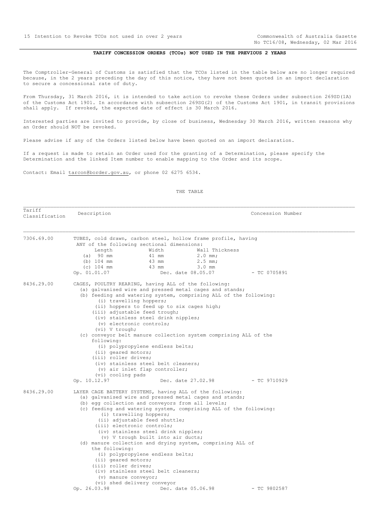No TC16/08, Wednesday, 02 Mar 2016

## **TARIFF CONCESSION ORDERS (TCOs) NOT USED IN THE PREVIOUS 2 YEARS**

<span id="page-14-0"></span>The Comptroller-General of Customs is satisfied that the TCOs listed in the table below are no longer required because, in the 2 years preceding the day of this notice, they have not been quoted in an import declaration to secure a concessional rate of duty.

From Thursday, 31 March 2016, it is intended to take action to revoke these Orders under subsection 269SD(1A) of the Customs Act 1901. In accordance with subsection 269SG(2) of the Customs Act 1901, in transit provisions shall apply. If revoked, the expected date of effect is 30 March 2016.

Interested parties are invited to provide, by close of business, Wednesday 30 March 2016, written reasons why an Order should NOT be revoked.

Please advise if any of the Orders listed below have been quoted on an import declaration.

If a request is made to retain an Order used for the granting of a Determination, please specify the Determination and the linked Item number to enable mapping to the Order and its scope.

Contact: Email tarcon@border.gov.au, or phone 02 6275 6534.

#### THE TABLE

Tariff Tariffication Description **Description Concession Number**<br>Classification 7306.69.00 TUBES, cold drawn, carbon steel, hollow frame profile, having ANY of the following sectional dimensions: Length Width Wall Thickness (a) 90 mm 41 mm 2.0 mm; (b) 104 mm 43 mm 2.5 mm;<br>(c) 104 mm 43 mm 3.0 mm  $(c)$  104 mm  $43$  mm Op. 01.01.07 Dec. date 08.05.07 - TC 0705891 8436.29.00 CAGES, POULTRY REARING, having ALL of the following: (a) galvanised wire and pressed metal cages and stands; (b) feeding and watering system, comprising ALL of the following: (i) travelling hoppers; (ii) hoppers to feed up to six cages high; (iii) adjustable feed trough; (iv) stainless steel drink nipples; (v) electronic controls; (vi) V trough; (c) conveyor belt manure collection system comprising ALL of the following: (i) polypropylene endless belts; (ii) geared motors; (iii) roller drives; (iv) stainless steel belt cleaners;  $(v)$  air inlet flap controller;  $(vi)$  cooling pads<br>Op.  $10.12.97$ Dec. date 27.02.98 - TC 9710929 8436.29.00 LAYER CAGE BATTERY SYSTEMS, having ALL of the following: (a) galvanised wire and pressed metal cages and stands; (b) egg collection and conveyors from all levels; (c) feeding and watering system, comprising ALL of the following: (i) travelling hoppers; (ii) adjustable feed shuttle; (iii) electronic controls; (iv) stainless steel drink nipples; (v) V trough built into air ducts; (d) manure collection and drying system, comprising ALL of the following: (i) polypropylene endless belts; (ii) geared motors; (iii) roller drives; (iv) stainless steel belt cleaners; (v) manure conveyor; (vi) shed delivery conveyor<br>Op. 26.03.98 Dec. Dec. date 05.06.98 - TC 9802587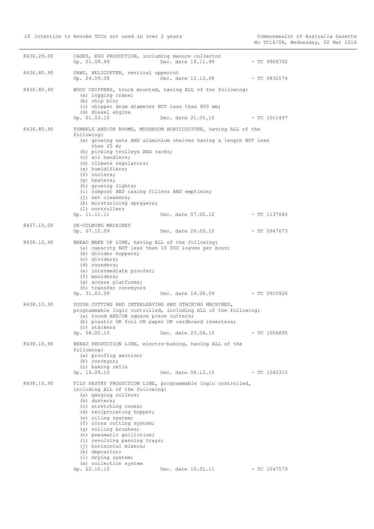| 8436.29.00 | CAGES, EGG PRODUCTION, including manure collector<br>Op. 01.09.99                                                                                                                                                                                                                                                                                                                | Dec. date 19.11.99                                                                                                                                      | - TC 9906702   |
|------------|----------------------------------------------------------------------------------------------------------------------------------------------------------------------------------------------------------------------------------------------------------------------------------------------------------------------------------------------------------------------------------|---------------------------------------------------------------------------------------------------------------------------------------------------------|----------------|
| 8436.80.90 | SAWS, HELICOPTER, vertical uppercut<br>Op. 24.09.08                                                                                                                                                                                                                                                                                                                              | Dec. date 12.12.08                                                                                                                                      | $-$ TC 0832574 |
| 8436.80.90 | (a) logging crane;<br>(b) chip bin;<br>(c) chipper drum diameter NOT less than 800 mm;<br>(d) diesel engine<br>Op. 01.03.10                                                                                                                                                                                                                                                      | WOOD CHIPPERS, truck mounted, having ALL of the following:<br>Dec. date 21.05.10                                                                        | - TC 1011497   |
| 8436.80.90 | following:<br>than $25$ m;<br>(b) picking trolleys AND racks;<br>(c) air handlers;<br>(d) climate regulators;<br>(e) humidifiers;<br>(f) coolers;<br>(q) heaters;<br>(h) growing lights;<br>(i) compost AND casing fillers AND emptiers;<br>$(i)$ net cleaners;<br>(k) moisturising sprayers;<br>(1) controllers<br>Op. 11.11.11                                                 | TUNNELS AND/OR ROOMS, MUSHROOM HORTICULTURE, having ALL of the<br>(a) growing nets AND aluminium shelves having a length NOT less<br>Dec. date 07.02.12 | - TC 1137645   |
| 8437.10.00 | DE-CULMING MACHINES<br>Op. 07.12.09                                                                                                                                                                                                                                                                                                                                              | Dec. date 26.02.10                                                                                                                                      | - TC 0947673   |
| 8438.10.90 | BREAD MAKE UP LINE, having ALL of the following:<br>(a) capacity NOT less than 10 000 loaves per hour;<br>(b) divider hoppers;<br>(c) dividers;<br>(d) rounders;<br>(e) intermediate proofer;<br>(f) moulders;<br>(g) access platforms;<br>(h) transfer conveyors<br>Op. 31.03.09                                                                                                | Dec. date 19.06.09 - TC 0910926                                                                                                                         |                |
| 8438.10.90 | DOUGH CUTTING AND INTERLEAVING AND STACKING MACHINES,<br>(a) round AND/OR square piece cutters;<br>(b) plastic OR foil OR paper OR cardboard inserters;<br>(c) stackers<br>Op. 08.02.10                                                                                                                                                                                          | programmable logic controlled, including ALL of the following:<br>Dec. date 23.04.10                                                                    | $-$ TC 1006895 |
| 8438.10.90 | BREAD PRODUCTION LINE, electro-baking, having ALL of the<br>following:<br>(a) proofing section;<br>(b) conveyor;<br>(c) baking cells<br>Op. 14.09.10                                                                                                                                                                                                                             | Dec. date 06.12.10 - TC 1042315                                                                                                                         |                |
| 8438.10.90 | including ALL of the following:<br>(a) gauging rollers;<br>(b) dusters;<br>(c) stretching cones;<br>(d) reciprocating hopper;<br>(e) oiling system;<br>(f) cross cutting system;<br>(g) rolling brushes;<br>(h) pneumatic quillotine;<br>(i) revolving panning trays;<br>(j) horizontal mixers;<br>(k) depositor;<br>(1) drying system;<br>(m) collection system<br>Op. 22.10.10 | FILO PASTRY PRODUCTION LINE, programmable logic controlled,<br>Dec. date 10.01.11                                                                       | $-$ TC 1047579 |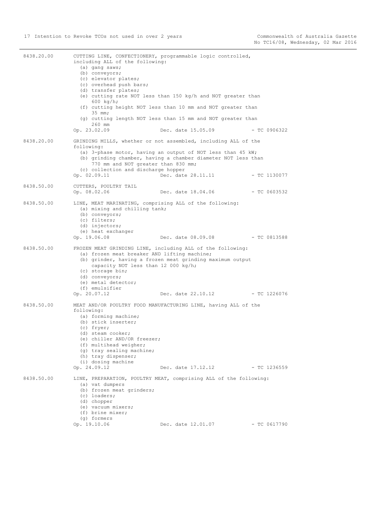| 8438.20.00 | including ALL of the following:<br>(a) gang saws;<br>(b) conveyors;<br>(c) elevator plates;<br>(c) overhead push bars;<br>(d) transfer plates;<br>$600 \ \text{kg/h}$ ;<br>$35$ mm;<br>260 mm<br>Op. 23.02.09                                   | CUTTING LINE, CONFECTIONERY, programmable logic controlled,<br>(e) cutting rate NOT less than 150 kg/h and NOT greater than<br>(f) cutting height NOT less than 10 mm and NOT greater than<br>(g) cutting length NOT less than 15 mm and NOT greater than<br>Dec. date 15.05.09 | $-$ TC 0906322 |
|------------|-------------------------------------------------------------------------------------------------------------------------------------------------------------------------------------------------------------------------------------------------|---------------------------------------------------------------------------------------------------------------------------------------------------------------------------------------------------------------------------------------------------------------------------------|----------------|
| 8438.20.00 | following:<br>770 mm and NOT greater than 830 mm;<br>(c) collection and discharge hopper<br>Op. 02.09.11                                                                                                                                        | GRINDING MILLS, whether or not assembled, including ALL of the<br>(a) 3-phase motor, having an output of NOT less than 45 kW;<br>(b) grinding chamber, having a chamber diameter NOT less than<br>Dec. date 28.11.11 - TC 1130077                                               |                |
| 8438.50.00 | CUTTERS, POULTRY TAIL<br>Op. 08.02.06                                                                                                                                                                                                           | Dec. date 18.04.06                                                                                                                                                                                                                                                              | - TC 0603532   |
| 8438.50.00 | LINE, MEAT MARINATING, comprising ALL of the following:<br>(a) mixing and chilling tank;<br>(b) conveyors;<br>(c) filters;<br>(d) injectors;<br>(e) heat exchanger<br>Op. 19.06.08                                                              | Dec. date 08.09.08                                                                                                                                                                                                                                                              | - TC 0813588   |
| 8438.50.00 | (a) frozen meat breaker AND lifting machine;<br>capacity NOT less than 12 000 kg/h;<br>(c) storage bin;<br>(d) conveyors;<br>(e) metal detector;<br>(f) emulsifier                                                                              | FROZEN MEAT GRINDING LINE, including ALL of the following:<br>(b) grinder, having a frozen meat grinding maximum output                                                                                                                                                         |                |
|            | Op. 20.07.12                                                                                                                                                                                                                                    | Dec. date 22.10.12 - TC 1226076                                                                                                                                                                                                                                                 |                |
| 8438.50.00 | following:<br>(a) forming machine;<br>(b) stick inserter;<br>(c) fryer;<br>(d) steam cooker;<br>(e) chiller AND/OR freezer;<br>(f) multihead weigher;<br>(g) tray sealing machine;<br>(h) tray dispenser;<br>(i) dosing machine<br>Op. 24.09.12 | MEAT AND/OR POULTRY FOOD MANUFACTURING LINE, having ALL of the<br>Dec. date 17.12.12                                                                                                                                                                                            | $-$ TC 1236559 |
| 8438.50.00 | (a) vat dumpers<br>(b) frozen meat grinders;<br>(c) loaders;<br>(d) chopper<br>(e) vacuum mixers;<br>(f) brine mixer;<br>(g) formers<br>Op. 19.10.06                                                                                            | LINE, PREPARATION, POULTRY MEAT, comprising ALL of the following:<br>Dec. date 12.01.07                                                                                                                                                                                         | $-$ TC 0617790 |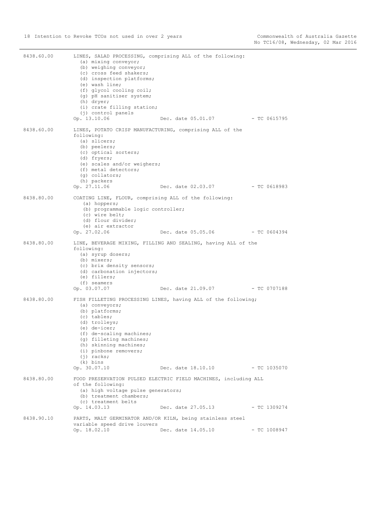| 8438.60.00 | (a) mixing conveyor;<br>(b) weighing conveyor;<br>(c) cross feed shakers;<br>(d) inspection platforms;<br>(e) wash line;<br>(f) glycol cooling coil;<br>(g) pH sanitiser system;<br>(h) dryer;<br>(i) crate filling station;<br>(j) control panels<br>Op. 13.10.06 | LINES, SALAD PROCESSING, comprising ALL of the following:<br>Dec. date 05.01.07 - TC 0615795 |                |
|------------|--------------------------------------------------------------------------------------------------------------------------------------------------------------------------------------------------------------------------------------------------------------------|----------------------------------------------------------------------------------------------|----------------|
| 8438.60.00 | LINES, POTATO CRISP MANUFACTURING, comprising ALL of the<br>following:<br>(a) slicers;<br>(b) peelers;<br>(c) optical sorters;<br>(d) fryers;<br>(e) scales and/or weighers;<br>(f) metal detectors;<br>(q) collators;<br>(h) packers<br>Op. 27.11.06              | Dec. date 02.03.07                                                                           | - TC 0618983   |
| 8438.80.00 | COATING LINE, FLOUR, comprising ALL of the following:<br>(a) hoppers;<br>(b) programmable logic controller;<br>(c) wire belt;<br>(d) flour divider;<br>(e) air extractor<br>Op. 27.02.06                                                                           | Dec. date 05.05.06                                                                           | $- TC 0604394$ |
| 8438.80.00 | following:<br>(a) syrup dosers;<br>(b) mixers;<br>(c) brix density sensors;<br>(d) carbonation injectors;<br>(e) fillers;<br>(f) seamers<br>Op. 03.07.07                                                                                                           | LINE, BEVERAGE MIXING, FILLING AND SEALING, having ALL of the<br>Dec. date 21.09.07          | - TC 0707188   |
| 8438.80.00 | (a) conveyors;<br>(b) platforms;<br>$(c)$ tables;<br>(d) trolleys;<br>$(e)$ de-icer;<br>(f) de-scaling machines;<br>(q) filleting machines;<br>(h) skinning machines;<br>(i) pinbone removers;<br>$(i)$ racks;<br>(k) bins<br>Op. 30.07.10                         | FISH FILLETING PROCESSING LINES, having ALL of the following;<br>Dec. date 18.10.10          | $-$ TC 1035070 |
| 8438.80.00 | of the following:<br>(a) high voltage pulse generators;<br>(b) treatment chambers;<br>(c) treatment belts<br>Op. 14.03.13                                                                                                                                          | FOOD PRESERVATION PULSED ELECTRIC FIELD MACHINES, including ALL<br>Dec. date 27.05.13        | $-$ TC 1309274 |
| 8438.90.10 | variable speed drive louvers                                                                                                                                                                                                                                       | PARTS, MALT GERMINATOR AND/OR KILN, being stainless steel                                    |                |
|            | Op. 18.02.10                                                                                                                                                                                                                                                       | Dec. date 14.05.10                                                                           | $-$ TC 1008947 |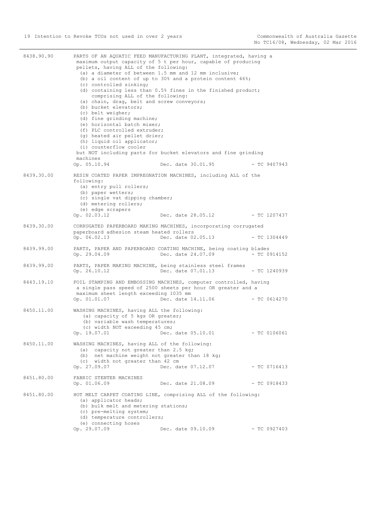| 8438.90.90 | pellets, having ALL of the following:<br>(c) controlled sinking;<br>comprising ALL of the following:<br>(a) chain, drag, belt and screw conveyors;<br>(b) bucket elevators;<br>(c) belt weigher;<br>(d) fine grinding machine;<br>(e) horizontal batch mixer;<br>(f) PLC controlled extruder;<br>(q) heated air pellet drier;<br>(h) liquid oil applicator;<br>(i) counterflow cooler<br>machines<br>Op. 05.10.94 | PARTS OF AN AQUATIC FEED MANUFACTURING PLANT, integrated, having a<br>maximum output capacity of 5 t per hour, capable of producing<br>(a) a diameter of between 1.5 mm and 12 mm inclusive;<br>(b) a oil content of up to 30% and a protein content $46\$ ;<br>(d) containing less than 0.5% fines in the finished product;<br>but NOT including parts for bucket elevators and fine grinding<br>Dec. date 30.01.95 | $-$ TC 9407943 |
|------------|-------------------------------------------------------------------------------------------------------------------------------------------------------------------------------------------------------------------------------------------------------------------------------------------------------------------------------------------------------------------------------------------------------------------|----------------------------------------------------------------------------------------------------------------------------------------------------------------------------------------------------------------------------------------------------------------------------------------------------------------------------------------------------------------------------------------------------------------------|----------------|
| 8439.30.00 |                                                                                                                                                                                                                                                                                                                                                                                                                   | RESIN COATED PAPER IMPREGNATION MACHINES, including ALL of the                                                                                                                                                                                                                                                                                                                                                       |                |
|            | following:<br>(a) entry pull rollers;<br>(b) paper wetters;<br>(c) single vat dipping chamber;<br>(d) metering rollers;<br>(e) edge scrapers<br>Op. 02.03.12                                                                                                                                                                                                                                                      | Dec. date 28.05.12                                                                                                                                                                                                                                                                                                                                                                                                   | - TC 1207437   |
| 8439.30.00 | paperboard adhesion steam heated rollers<br>Op. 06.02.13                                                                                                                                                                                                                                                                                                                                                          | CORRUGATED PAPERBOARD MAKING MACHINES, incorporating corrugated<br>Dec. date 02.05.13                                                                                                                                                                                                                                                                                                                                | - TC 1304449   |
| 8439.99.00 | Op. 29.04.09                                                                                                                                                                                                                                                                                                                                                                                                      | PARTS, PAPER AND PAPERBOARD COATING MACHINE, being coating blades<br>Dec. date 24.07.09                                                                                                                                                                                                                                                                                                                              | $-$ TC 0914152 |
| 8439.99.00 | Op. 26.10.12                                                                                                                                                                                                                                                                                                                                                                                                      | PARTS, PAPER MAKING MACHINE, being stainless steel frames<br>Dec. date 07.01.13                                                                                                                                                                                                                                                                                                                                      | $-$ TC 1240939 |
| 8443.19.10 | maximum sheet length exceeding 1035 mm<br>Op. 01.01.07                                                                                                                                                                                                                                                                                                                                                            | FOIL STAMPING AND EMBOSSING MACHINES, computer controlled, having<br>a single pass speed of 2500 sheets per hour OR greater and a<br>Dec. date 14.11.06                                                                                                                                                                                                                                                              | $-$ TC 0614270 |
| 8450.11.00 | WASHING MACHINES, having ALL the following:<br>(a) capacity of 5 kgs OR greater;<br>(b) variable wash temperatures;<br>(c) width NOT exceeding 45 cm;<br>Op. 19.07.01                                                                                                                                                                                                                                             | Dec. date 05.10.01                                                                                                                                                                                                                                                                                                                                                                                                   | $-$ TC 0106061 |
| 8450.11.00 | WASHING MACHINES, having ALL of the following:<br>(a) capacity not greater than 2.5 kg;<br>(b) net machine weight not greater than 18 kg;<br>(c) width not greater than 42 cm<br>Op. 27.09.07                                                                                                                                                                                                                     | Dec. date 07.12.07                                                                                                                                                                                                                                                                                                                                                                                                   | $-$ TC 0716413 |
| 8451.80.00 | FABRIC STENTER MACHINES<br>Op. 01.06.09                                                                                                                                                                                                                                                                                                                                                                           | Dec. date 21.08.09                                                                                                                                                                                                                                                                                                                                                                                                   | $-$ TC 0918433 |
| 8451.80.00 | (a) applicator heads;<br>(b) bulk melt and metering stations;<br>(c) pre-melting system;<br>(d) temperature controllers;<br>(e) connecting hoses<br>Op. 29.07.09                                                                                                                                                                                                                                                  | HOT MELT CARPET COATING LINE, comprising ALL of the following:<br>Dec. date 09.10.09                                                                                                                                                                                                                                                                                                                                 | $-$ TC 0927403 |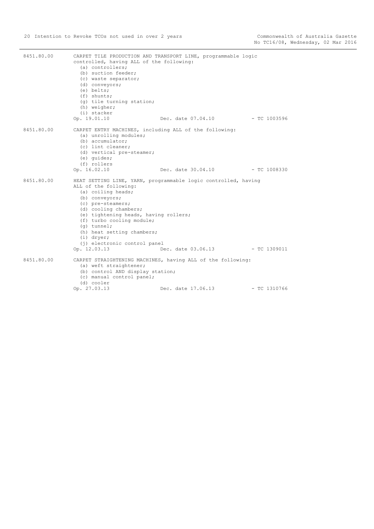| 8451.80.00 | controlled, having ALL of the following:<br>(a) controllers;<br>(b) suction feeder;<br>(c) waste separator;<br>(d) conveyors;<br>(e) belts;<br>$(f)$ shunts;<br>(q) tile turning station;<br>(h) weigher;<br>(i) stacker                                                                         | CARPET TILE PRODUCTION AND TRANSPORT LINE, programmable logic                                       |                |
|------------|--------------------------------------------------------------------------------------------------------------------------------------------------------------------------------------------------------------------------------------------------------------------------------------------------|-----------------------------------------------------------------------------------------------------|----------------|
| 8451.80.00 | Op. 19.01.10<br>CARPET ENTRY MACHINES, including ALL of the following:<br>(a) unrolling modules;<br>(b) accumulator;<br>(c) lint cleaner;<br>(d) vertical pre-steamer;<br>(e) quides;<br>(f) rollers<br>Op. 16.02.10                                                                             | Dec. date 07.04.10<br>Dec. date $30.04.10$ - TC 1008330                                             | — ТС 1003596   |
| 8451.80.00 | ALL of the following:<br>(a) coiling heads;<br>(b) conveyors;<br>(c) pre-steamers;<br>(d) cooling chambers;<br>(e) tightening heads, having rollers;<br>(f) turbo cooling module;<br>$(q)$ tunnel;<br>(h) heat setting chambers;<br>$(i)$ dryer;<br>(j) electronic control panel<br>Op. 12.03.13 | HEAT SETTING LINE, YARN, programmable logic controlled, having<br>Dec. date $03.06.13$ - TC 1309011 |                |
| 8451.80.00 | (a) weft straightener;<br>(b) control AND display station;<br>(c) manual control panel;<br>(d) cooler<br>Op. 27.03.13                                                                                                                                                                            | CARPET STRAIGHTENING MACHINES, having ALL of the following:<br>Dec. date 17.06.13                   | $-$ TC 1310766 |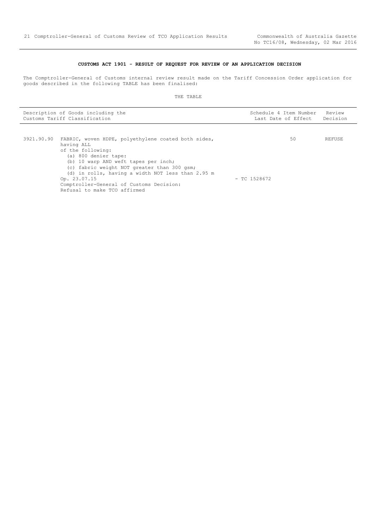## **CUSTOMS ACT 1901 - RESULT OF REQUEST FOR REVIEW OF AN APPLICATION DECISION**

<span id="page-20-0"></span>The Comptroller-General of Customs internal review result made on the Tariff Concession Order application for goods described in the following TABLE has been finalised:

| Description of Goods including the<br>Customs Tariff Classification | Schedule 4 Item Number Review<br>Last Date of Effect | Decision |
|---------------------------------------------------------------------|------------------------------------------------------|----------|
|                                                                     |                                                      |          |

| 3921.90.90 FABRIC, woven HDPE, polyethylene coated both sides, |                | 50 | REFUSE |
|----------------------------------------------------------------|----------------|----|--------|
| having ALL                                                     |                |    |        |
| of the following:                                              |                |    |        |
| (a) 800 denier tape:                                           |                |    |        |
| (b) 10 warp AND weft tapes per inch;                           |                |    |        |
| (c) fabric weight NOT greater than 300 gsm;                    |                |    |        |
| (d) in rolls, having a width NOT less than 2.95 m              |                |    |        |
| Op. 23.07.15                                                   | $-$ TC 1528672 |    |        |
| Comptroller-General of Customs Decision:                       |                |    |        |
| Refusal to make TCO affirmed                                   |                |    |        |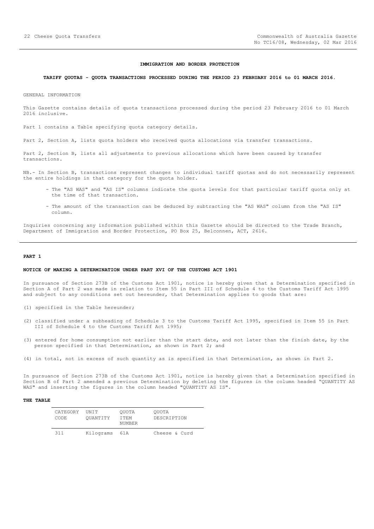#### **IMMIGRATION AND BORDER PROTECTION**

#### <span id="page-21-0"></span>**TARIFF QUOTAS - QUOTA TRANSACTIONS PROCESSED DURING THE PERIOD 23 FEBRUARY 2016 to 01 MARCH 2016.**

GENERAL INFORMATION

This Gazette contains details of quota transactions processed during the period 23 February 2016 to 01 March 2016 inclusive.

Part 1 contains a Table specifying quota category details.

Part 2, Section A, lists quota holders who received quota allocations via transfer transactions.

Part 2, Section B, lists all adjustments to previous allocations which have been caused by transfer transactions.

NB.- In Section B, transactions represent changes to individual tariff quotas and do not necessarily represent the entire holdings in that category for the quota holder.

- The "AS WAS" and "AS IS" columns indicate the quota levels for that particular tariff quota only at the time of that transaction.
- The amount of the transaction can be deduced by subtracting the "AS WAS" column from the "AS IS" column.

Inquiries concerning any information published within this Gazette should be directed to the Trade Branch, Department of Immigration and Border Protection, PO Box 25, Belconnen, ACT, 2616.

#### **PART 1**

#### **NOTICE OF MAKING A DETERMINATION UNDER PART XVI OF THE CUSTOMS ACT 1901**

In pursuance of Section 273B of the Customs Act 1901, notice is hereby given that a Determination specified in Section A of Part 2 was made in relation to Item 55 in Part III of Schedule 4 to the Customs Tariff Act 1995 and subject to any conditions set out hereunder, that Determination applies to goods that are:

- (1) specified in the Table hereunder;
- (2) classified under a subheading of Schedule 3 to the Customs Tariff Act 1995, specified in Item 55 in Part III of Schedule 4 to the Customs Tariff Act 1995;
- (3) entered for home consumption not earlier than the start date, and not later than the finish date, by the person specified in that Determination, as shown in Part 2; and
- (4) in total, not in excess of such quantity as is specified in that Determination, as shown in Part 2.

In pursuance of Section 273B of the Customs Act 1901, notice is hereby given that a Determination specified in Section B of Part 2 amended a previous Determination by deleting the figures in the column headed "QUANTITY AS WAS" and inserting the figures in the column headed "QUANTITY AS IS".

| CATEGORY<br>CODE. | UNTT<br>OUANTITY | OUOTA<br>T T F.M<br>NUMBER | OUOTA<br>DESCRIPTION |
|-------------------|------------------|----------------------------|----------------------|
| 311               | Kilograms        | 61A                        | Cheese & Curd        |